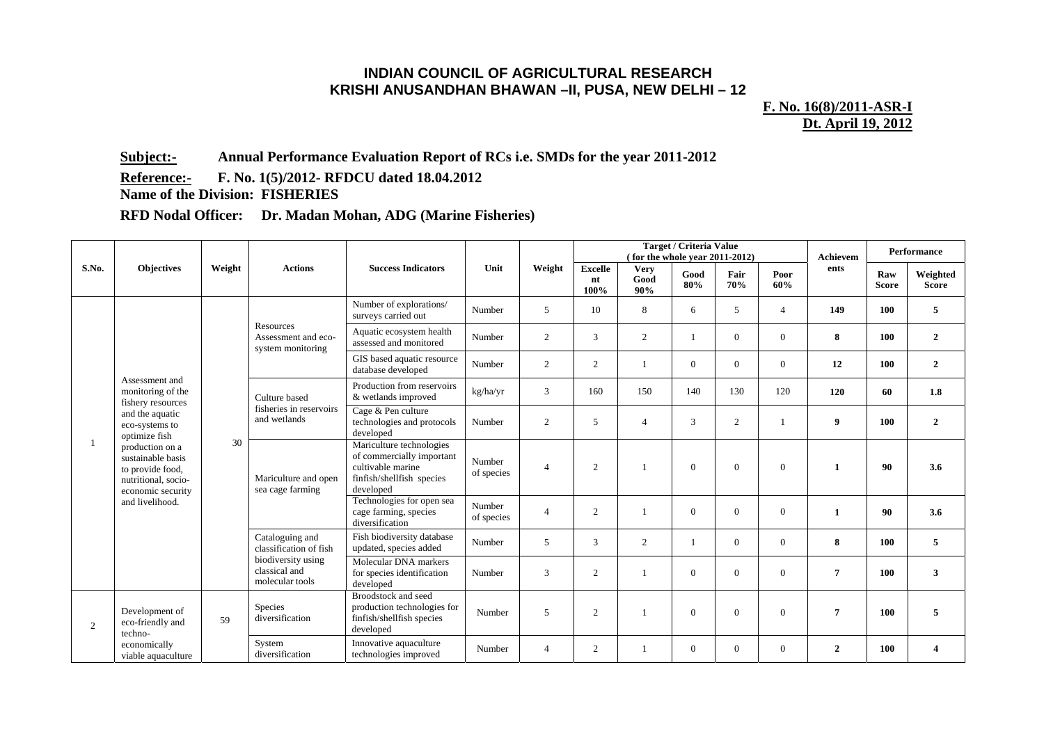## **INDIAN COUNCIL OF AGRICULTURAL RESEARCH KRISHI ANUSANDHAN BHAWAN –II, PUSA, NEW DELHI – 12**

**F. No. 16(8)/2011-ASR-I Dt. April 19, 2012** 

**Subject:- Annual Performance Evaluation Report of RCs i.e. SMDs for the year 2011-2012** 

**Reference:- F. No. 1(5)/2012- RFDCU dated 18.04.2012** 

**Name of the Division: FISHERIES** 

**RFD Nodal Officer: Dr. Madan Mohan, ADG (Marine Fisheries)** 

| S.No. |                                                                                                      | Weight                                                                                                                                                                                                                                                                                                                                              | <b>Actions</b>                                         | <b>Success Indicators</b>                                                                    | Unit                 | Weight                                      | <b>Target / Criteria Value</b><br>(for the whole year 2011-2012) |                            |             |              |                            | Achievem                                                             | Performance          |                                                                                              |
|-------|------------------------------------------------------------------------------------------------------|-----------------------------------------------------------------------------------------------------------------------------------------------------------------------------------------------------------------------------------------------------------------------------------------------------------------------------------------------------|--------------------------------------------------------|----------------------------------------------------------------------------------------------|----------------------|---------------------------------------------|------------------------------------------------------------------|----------------------------|-------------|--------------|----------------------------|----------------------------------------------------------------------|----------------------|----------------------------------------------------------------------------------------------|
|       | <b>Objectives</b>                                                                                    |                                                                                                                                                                                                                                                                                                                                                     |                                                        |                                                                                              |                      |                                             | <b>Excelle</b><br>nt<br>100%                                     | <b>Very</b><br>Good<br>90% | Good<br>80% | Fair<br>70%  | Poor<br>60%                | ents                                                                 | Raw<br><b>Score</b>  | Weighted<br><b>Score</b>                                                                     |
|       |                                                                                                      |                                                                                                                                                                                                                                                                                                                                                     |                                                        | Number of explorations/<br>surveys carried out                                               | Number               | 5                                           | 10                                                               | 8                          | 6           | 5            | $\overline{4}$             | 149                                                                  | 100                  | 5                                                                                            |
|       |                                                                                                      |                                                                                                                                                                                                                                                                                                                                                     | Resources<br>Assessment and eco-<br>system monitoring  | Aquatic ecosystem health<br>assessed and monitored                                           | Number               | 2                                           | 3                                                                | $\overline{2}$             |             | $\Omega$     | $\overline{0}$             | 8                                                                    | 100                  | $\overline{2}$<br>$\overline{2}$<br>1.8<br>$\overline{2}$<br>3.6<br>3.6<br>5<br>$\mathbf{3}$ |
|       |                                                                                                      |                                                                                                                                                                                                                                                                                                                                                     |                                                        | GIS based aquatic resource<br>database developed                                             | Number               | 2                                           | 2                                                                |                            | $\Omega$    | $\Omega$     | $\theta$                   | 12<br>100<br>120<br>60<br>9<br>100<br>90<br>1<br>90<br>1<br>8<br>100 |                      |                                                                                              |
|       | Assessment and<br>monitoring of the<br>fishery resources                                             |                                                                                                                                                                                                                                                                                                                                                     | Culture based                                          | Production from reservoirs<br>& wetlands improved                                            | kg/ha/yr             | 3                                           | 160                                                              | 150                        | 140         | 130          | 120                        |                                                                      | 100<br>7<br>5<br>100 |                                                                                              |
|       | and the aquatic<br>eco-systems to<br>optimize fish                                                   | fisheries in reservoirs<br>Cage & Pen culture<br>and wetlands<br>2<br>technologies and protocols<br>Number<br>5<br>$\overline{4}$<br>developed<br>30<br>Mariculture technologies<br>of commercially important<br>Number<br>cultivable marine<br>2<br>$\overline{4}$<br>of species<br>Mariculture and open<br>finfish/shellfish species<br>developed | 3                                                      | 2                                                                                            |                      |                                             |                                                                  |                            |             |              |                            |                                                                      |                      |                                                                                              |
|       | production on a<br>sustainable basis<br>to provide food,<br>nutritional, socio-<br>economic security |                                                                                                                                                                                                                                                                                                                                                     | sea cage farming                                       |                                                                                              |                      |                                             |                                                                  |                            | $\Omega$    | $\Omega$     | $\overline{0}$             |                                                                      |                      |                                                                                              |
|       | and livelihood.                                                                                      |                                                                                                                                                                                                                                                                                                                                                     |                                                        | Technologies for open sea<br>cage farming, species<br>diversification                        | Number<br>of species | $\overline{4}$<br>2<br>$\Omega$<br>$\Omega$ |                                                                  | $\theta$                   |             |              |                            |                                                                      |                      |                                                                                              |
|       |                                                                                                      |                                                                                                                                                                                                                                                                                                                                                     | Cataloguing and<br>classification of fish              | Fish biodiversity database<br>updated, species added                                         | Number               | 5                                           | 3                                                                | 2                          |             | $\mathbf{0}$ | $\overline{0}$<br>$\theta$ |                                                                      |                      |                                                                                              |
|       |                                                                                                      |                                                                                                                                                                                                                                                                                                                                                     | biodiversity using<br>classical and<br>molecular tools | Molecular DNA markers<br>for species identification<br>developed                             | Number               | 3                                           | $\mathbf{2}$                                                     |                            | $\Omega$    | $\Omega$     |                            |                                                                      |                      |                                                                                              |
| 2     | Development of<br>eco-friendly and<br>techno-                                                        | 59                                                                                                                                                                                                                                                                                                                                                  | <b>Species</b><br>diversification                      | Broodstock and seed<br>production technologies for<br>finfish/shellfish species<br>developed | Number               | 5                                           | $\overline{2}$                                                   |                            | $\Omega$    | $\Omega$     | $\mathbf{0}$               |                                                                      |                      |                                                                                              |
|       | economically<br>viable aquaculture                                                                   |                                                                                                                                                                                                                                                                                                                                                     | System<br>diversification                              | Innovative aquaculture<br>technologies improved                                              | Number               | $\overline{4}$                              | 2                                                                |                            | $\Omega$    | $\Omega$     | $\overline{0}$             | $\overline{2}$                                                       | 100                  | $\overline{\mathbf{4}}$                                                                      |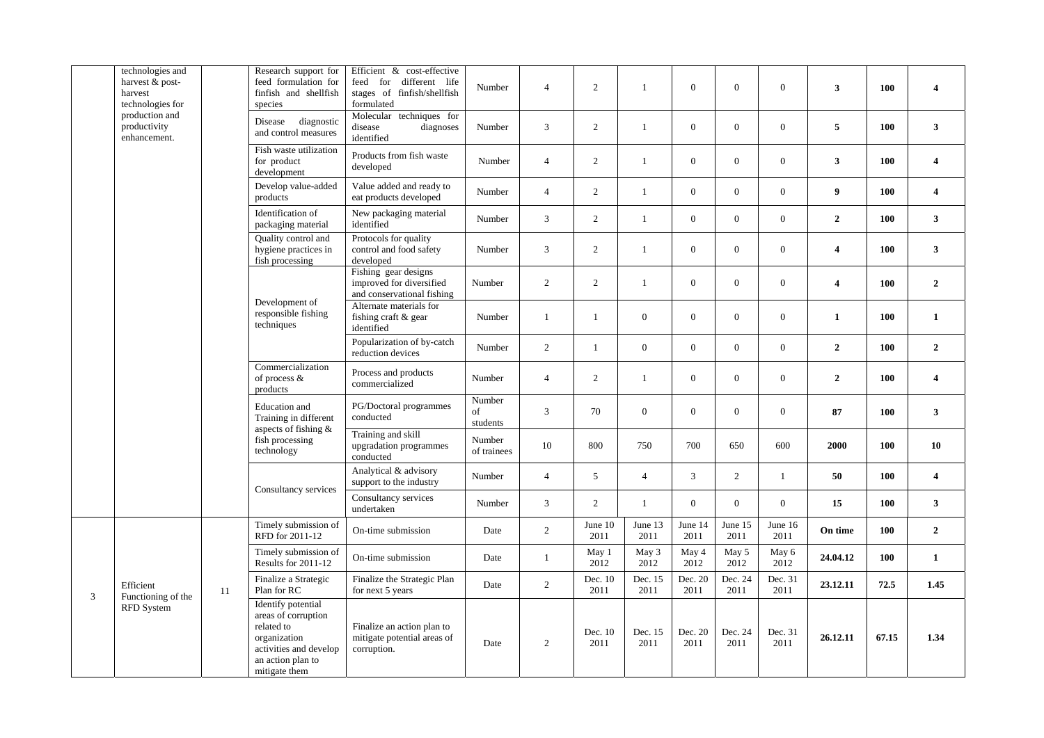|   | technologies and<br>harvest & post-<br>harvest<br>technologies for |                                                                                                                                                                                                                                     | Research support for<br>feed formulation for<br>finfish and shellfish<br>species | Efficient & cost-effective<br>feed for different life<br>stages of finfish/shellfish<br>formulated | Number                   | $\overline{4}$  | 2               | $\mathbf{1}$    | $\overline{0}$   | $\overline{0}$   | $\overline{0}$   | $\mathbf{3}$     | 100  | $\overline{\mathbf{4}}$ |
|---|--------------------------------------------------------------------|-------------------------------------------------------------------------------------------------------------------------------------------------------------------------------------------------------------------------------------|----------------------------------------------------------------------------------|----------------------------------------------------------------------------------------------------|--------------------------|-----------------|-----------------|-----------------|------------------|------------------|------------------|------------------|------|-------------------------|
|   | production and<br>productivity<br>enhancement.                     |                                                                                                                                                                                                                                     | diagnostic<br>Disease<br>and control measures                                    | Molecular techniques for<br>disease<br>diagnoses<br>identified                                     | Number                   | 3               | $\overline{2}$  | $\mathbf{1}$    | $\mathbf{0}$     | $\overline{0}$   | $\mathbf{0}$     | 5                | 100  | 3 <sup>1</sup>          |
|   |                                                                    |                                                                                                                                                                                                                                     | Fish waste utilization<br>for product<br>development                             | Products from fish waste<br>developed                                                              | Number                   | $\overline{4}$  | $\overline{2}$  | $\mathbf{1}$    | $\overline{0}$   | $\overline{0}$   | $\boldsymbol{0}$ | 3 <sup>1</sup>   | 100  | $\overline{\mathbf{4}}$ |
|   |                                                                    |                                                                                                                                                                                                                                     | Develop value-added<br>products                                                  | Value added and ready to<br>eat products developed                                                 | Number                   | $\overline{4}$  | $\overline{2}$  | $\mathbf{1}$    | $\mathbf{0}$     | $\overline{0}$   | $\boldsymbol{0}$ | 9 <sup>°</sup>   | 100  | $\overline{4}$          |
|   |                                                                    |                                                                                                                                                                                                                                     | Identification of<br>packaging material                                          | New packaging material<br>identified                                                               | Number                   | 3               | $\overline{2}$  | $\mathbf{1}$    | $\overline{0}$   | $\mathbf{0}$     | $\mathbf{0}$     | $\mathbf{2}$     | 100  | 3 <sup>1</sup>          |
|   |                                                                    |                                                                                                                                                                                                                                     | <b>Ouality</b> control and<br>hygiene practices in<br>fish processing            | Protocols for quality<br>control and food safety<br>developed                                      | Number                   | 3               | $\overline{2}$  | $\mathbf{1}$    | $\boldsymbol{0}$ | $\boldsymbol{0}$ | $\boldsymbol{0}$ | $\boldsymbol{4}$ | 100  | $\mathbf{3}$            |
|   |                                                                    |                                                                                                                                                                                                                                     | Development of<br>responsible fishing<br>techniques                              | Fishing gear designs<br>improved for diversified<br>and conservational fishing                     | Number                   | 2               | $\overline{2}$  | $\mathbf{1}$    | $\overline{0}$   | $\mathbf{0}$     | $\boldsymbol{0}$ | $\overline{4}$   | 100  | $\overline{2}$          |
|   |                                                                    |                                                                                                                                                                                                                                     |                                                                                  | Alternate materials for<br>fishing craft & gear<br>identified                                      | Number                   | $\mathbf{1}$    | 1               | $\mathbf{0}$    | $\overline{0}$   | $\overline{0}$   | $\boldsymbol{0}$ | $\mathbf{1}$     | 100  | $\mathbf{1}$            |
|   |                                                                    |                                                                                                                                                                                                                                     |                                                                                  | Popularization of by-catch<br>reduction devices                                                    | Number                   | 2               | 1               | $\mathbf{0}$    | $\mathbf{0}$     | $\overline{0}$   | $\mathbf{0}$     | $\mathbf{2}$     | 100  | $\overline{2}$          |
|   |                                                                    |                                                                                                                                                                                                                                     | Commercialization<br>of process &<br>products                                    | Process and products<br>commercialized                                                             | Number                   | $\overline{4}$  | 2               | $\mathbf{1}$    | $\overline{0}$   | $\overline{0}$   | $\mathbf{0}$     | $\mathbf{2}$     | 100  | $\overline{\mathbf{4}}$ |
|   |                                                                    |                                                                                                                                                                                                                                     | Education and<br>Training in different<br>aspects of fishing $\&$                | PG/Doctoral programmes<br>conducted                                                                | Number<br>of<br>students | 3               | 70              | $\mathbf{0}$    | $\mathbf{0}$     | $\mathbf{0}$     | $\overline{0}$   | 87               | 100  | $\mathbf{3}$            |
|   |                                                                    |                                                                                                                                                                                                                                     | fish processing<br>technology                                                    | Training and skill<br>upgradation programmes<br>conducted                                          | Number<br>of trainees    | 10              | 800             | 750             | 700              | 650              | 600              | 2000             | 100  | 10                      |
|   |                                                                    |                                                                                                                                                                                                                                     | Consultancy services                                                             | Analytical & advisory<br>support to the industry                                                   | Number                   | $\overline{4}$  | 5               | $\overline{4}$  | 3                | 2                | $\mathbf{1}$     | 50               | 100  | $\overline{\bf{4}}$     |
|   |                                                                    |                                                                                                                                                                                                                                     |                                                                                  | Consultancy services<br>undertaken                                                                 | Number                   | 3               | $\overline{2}$  | $\mathbf{1}$    | $\overline{0}$   | $\overline{0}$   | $\mathbf{0}$     | 15               | 100  | 3 <sup>1</sup>          |
|   |                                                                    |                                                                                                                                                                                                                                     | Timely submission of<br>RFD for 2011-12                                          | On-time submission                                                                                 | Date                     | $\mathbf{2}$    | June 10<br>2011 | June 13<br>2011 | June 14<br>2011  | June 15<br>2011  | June 16<br>2011  | On time          | 100  | $\mathbf{2}$            |
|   | Efficient<br>Functioning of the<br>RFD System                      | Timely submission of<br>Results for 2011-12<br>Finalize a Strategic<br>Plan for RC<br>11<br>Identify potential<br>areas of corruption<br>related to<br>organization<br>activities and develop<br>an action plan to<br>mitigate them |                                                                                  | On-time submission                                                                                 | Date                     | 1               | May 1<br>2012   | May 3<br>2012   | May 4<br>2012    | May 5<br>2012    | May 6<br>2012    | 24.04.12         | 100  | $\mathbf{1}$            |
| 3 |                                                                    |                                                                                                                                                                                                                                     |                                                                                  | Finalize the Strategic Plan<br>for next 5 years                                                    | Date                     | $\overline{2}$  | Dec. 10<br>2011 | Dec. 15<br>2011 | Dec. 20<br>2011  | Dec. 24<br>2011  | Dec. 31<br>2011  | 23.12.11         | 72.5 | 1.45                    |
|   |                                                                    |                                                                                                                                                                                                                                     | Finalize an action plan to<br>mitigate potential areas of<br>corruption.         | Date                                                                                               | 2                        | Dec. 10<br>2011 | Dec. 15<br>2011 | Dec. 20<br>2011 | Dec. 24<br>2011  | Dec. 31<br>2011  | 26.12.11         | 67.15            | 1.34 |                         |